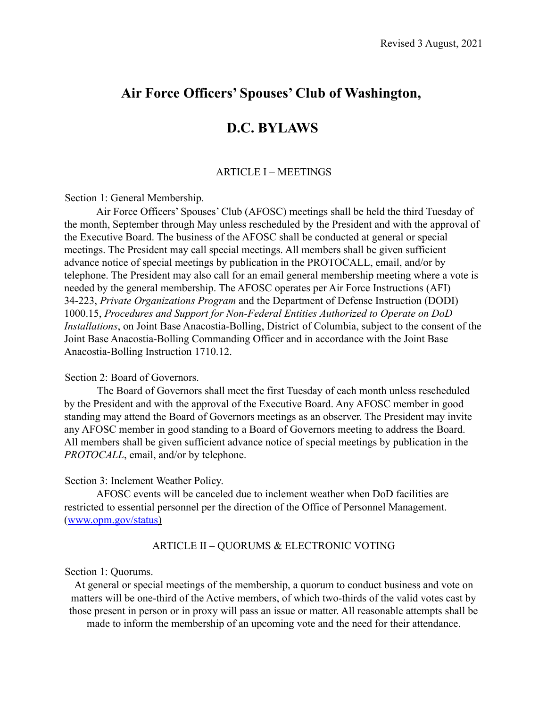# **Air Force Officers' Spouses' Club of Washington,**

# **D.C. BYLAWS**

#### ARTICLE I – MEETINGS

Section 1: General Membership.

Air Force Officers' Spouses' Club (AFOSC) meetings shall be held the third Tuesday of the month, September through May unless rescheduled by the President and with the approval of the Executive Board. The business of the AFOSC shall be conducted at general or special meetings. The President may call special meetings. All members shall be given sufficient advance notice of special meetings by publication in the PROTOCALL, email, and/or by telephone. The President may also call for an email general membership meeting where a vote is needed by the general membership. The AFOSC operates per Air Force Instructions (AFI) 34-223, *Private Organizations Program* and the Department of Defense Instruction (DODI) 1000.15, *Procedures and Support for Non-Federal Entities Authorized to Operate on DoD Installations*, on Joint Base Anacostia-Bolling, District of Columbia, subject to the consent of the Joint Base Anacostia-Bolling Commanding Officer and in accordance with the Joint Base Anacostia-Bolling Instruction 1710.12.

#### Section 2: Board of Governors.

The Board of Governors shall meet the first Tuesday of each month unless rescheduled by the President and with the approval of the Executive Board. Any AFOSC member in good standing may attend the Board of Governors meetings as an observer. The President may invite any AFOSC member in good standing to a Board of Governors meeting to address the Board. All members shall be given sufficient advance notice of special meetings by publication in the *PROTOCALL*, email, and/or by telephone.

#### Section 3: Inclement Weather Policy.

AFOSC events will be canceled due to inclement weather when DoD facilities are restricted to essential personnel per the direction of the Office of Personnel Management. (www.opm.gov/status)

#### ARTICLE II – QUORUMS & ELECTRONIC VOTING

#### Section 1: Quorums.

At general or special meetings of the membership, a quorum to conduct business and vote on matters will be one-third of the Active members, of which two-thirds of the valid votes cast by those present in person or in proxy will pass an issue or matter. All reasonable attempts shall be made to inform the membership of an upcoming vote and the need for their attendance.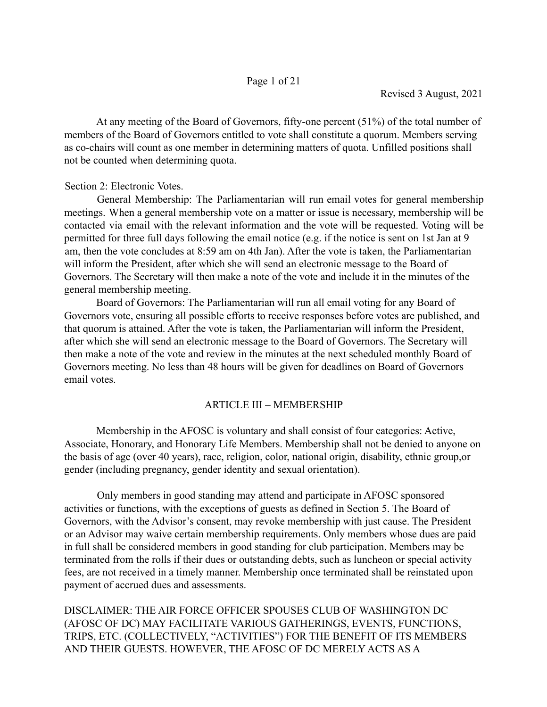At any meeting of the Board of Governors, fifty-one percent (51%) of the total number of members of the Board of Governors entitled to vote shall constitute a quorum. Members serving as co-chairs will count as one member in determining matters of quota. Unfilled positions shall not be counted when determining quota.

### Section 2: Electronic Votes.

General Membership: The Parliamentarian will run email votes for general membership meetings. When a general membership vote on a matter or issue is necessary, membership will be contacted via email with the relevant information and the vote will be requested. Voting will be permitted for three full days following the email notice (e.g. if the notice is sent on 1st Jan at 9 am, then the vote concludes at 8:59 am on 4th Jan). After the vote is taken, the Parliamentarian will inform the President, after which she will send an electronic message to the Board of Governors. The Secretary will then make a note of the vote and include it in the minutes of the general membership meeting.

Board of Governors: The Parliamentarian will run all email voting for any Board of Governors vote, ensuring all possible efforts to receive responses before votes are published, and that quorum is attained. After the vote is taken, the Parliamentarian will inform the President, after which she will send an electronic message to the Board of Governors. The Secretary will then make a note of the vote and review in the minutes at the next scheduled monthly Board of Governors meeting. No less than 48 hours will be given for deadlines on Board of Governors email votes.

# ARTICLE III – MEMBERSHIP

Membership in the AFOSC is voluntary and shall consist of four categories: Active, Associate, Honorary, and Honorary Life Members. Membership shall not be denied to anyone on the basis of age (over 40 years), race, religion, color, national origin, disability, ethnic group,or gender (including pregnancy, gender identity and sexual orientation).

Only members in good standing may attend and participate in AFOSC sponsored activities or functions, with the exceptions of guests as defined in Section 5. The Board of Governors, with the Advisor's consent, may revoke membership with just cause. The President or an Advisor may waive certain membership requirements. Only members whose dues are paid in full shall be considered members in good standing for club participation. Members may be terminated from the rolls if their dues or outstanding debts, such as luncheon or special activity fees, are not received in a timely manner. Membership once terminated shall be reinstated upon payment of accrued dues and assessments.

DISCLAIMER: THE AIR FORCE OFFICER SPOUSES CLUB OF WASHINGTON DC (AFOSC OF DC) MAY FACILITATE VARIOUS GATHERINGS, EVENTS, FUNCTIONS, TRIPS, ETC. (COLLECTIVELY, "ACTIVITIES") FOR THE BENEFIT OF ITS MEMBERS AND THEIR GUESTS. HOWEVER, THE AFOSC OF DC MERELY ACTS AS A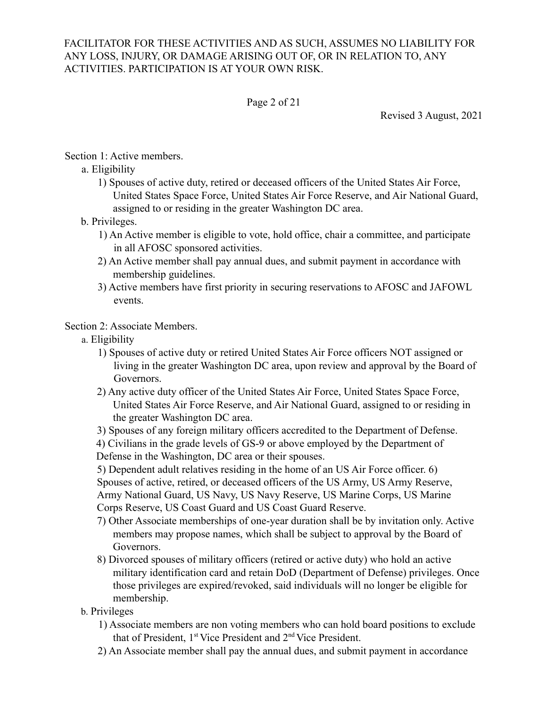### FACILITATOR FOR THESE ACTIVITIES AND AS SUCH, ASSUMES NO LIABILITY FOR ANY LOSS, INJURY, OR DAMAGE ARISING OUT OF, OR IN RELATION TO, ANY ACTIVITIES. PARTICIPATION IS AT YOUR OWN RISK.

### Page 2 of 21

Revised 3 August, 2021

### Section 1: Active members.

# a. Eligibility

1) Spouses of active duty, retired or deceased officers of the United States Air Force, United States Space Force, United States Air Force Reserve, and Air National Guard, assigned to or residing in the greater Washington DC area.

### b. Privileges.

- 1) An Active member is eligible to vote, hold office, chair a committee, and participate in all AFOSC sponsored activities.
- 2) An Active member shall pay annual dues, and submit payment in accordance with membership guidelines.
- 3) Active members have first priority in securing reservations to AFOSC and JAFOWL events.

### Section 2: Associate Members.

- a. Eligibility
	- 1) Spouses of active duty or retired United States Air Force officers NOT assigned or living in the greater Washington DC area, upon review and approval by the Board of Governors.
	- 2) Any active duty officer of the United States Air Force, United States Space Force, United States Air Force Reserve, and Air National Guard, assigned to or residing in the greater Washington DC area.
	- 3) Spouses of any foreign military officers accredited to the Department of Defense.
	- 4) Civilians in the grade levels of GS-9 or above employed by the Department of Defense in the Washington, DC area or their spouses.

5) Dependent adult relatives residing in the home of an US Air Force officer. 6) Spouses of active, retired, or deceased officers of the US Army, US Army Reserve, Army National Guard, US Navy, US Navy Reserve, US Marine Corps, US Marine Corps Reserve, US Coast Guard and US Coast Guard Reserve.

- 7) Other Associate memberships of one-year duration shall be by invitation only. Active members may propose names, which shall be subject to approval by the Board of Governors.
- 8) Divorced spouses of military officers (retired or active duty) who hold an active military identification card and retain DoD (Department of Defense) privileges. Once those privileges are expired/revoked, said individuals will no longer be eligible for membership.

# b. Privileges

- 1) Associate members are non voting members who can hold board positions to exclude that of President, 1<sup>st</sup> Vice President and 2<sup>nd</sup> Vice President.
- 2) An Associate member shall pay the annual dues, and submit payment in accordance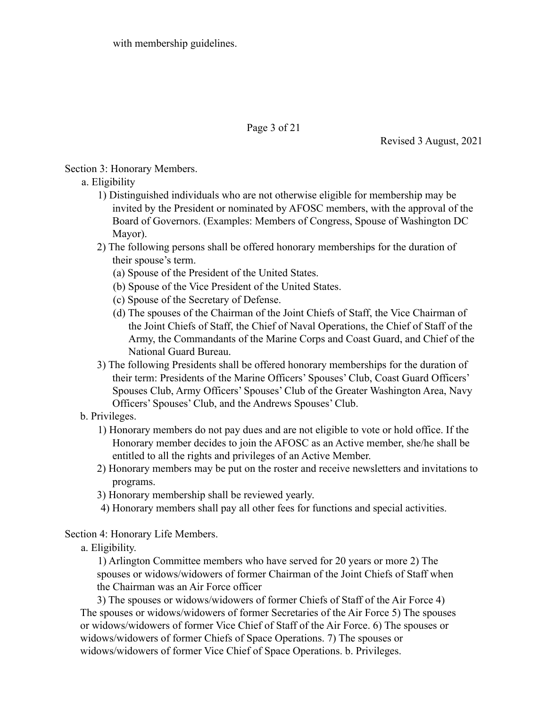with membership guidelines.

Page 3 of 21

Revised 3 August, 2021

Section 3: Honorary Members.

- a. Eligibility
	- 1) Distinguished individuals who are not otherwise eligible for membership may be invited by the President or nominated by AFOSC members, with the approval of the Board of Governors. (Examples: Members of Congress, Spouse of Washington DC Mayor).
	- 2) The following persons shall be offered honorary memberships for the duration of their spouse's term.
		- (a) Spouse of the President of the United States.
		- (b) Spouse of the Vice President of the United States.
		- (c) Spouse of the Secretary of Defense.
		- (d) The spouses of the Chairman of the Joint Chiefs of Staff, the Vice Chairman of the Joint Chiefs of Staff, the Chief of Naval Operations, the Chief of Staff of the Army, the Commandants of the Marine Corps and Coast Guard, and Chief of the National Guard Bureau.
	- 3) The following Presidents shall be offered honorary memberships for the duration of their term: Presidents of the Marine Officers' Spouses' Club, Coast Guard Officers' Spouses Club, Army Officers' Spouses' Club of the Greater Washington Area, Navy Officers' Spouses' Club, and the Andrews Spouses' Club.

### b. Privileges.

- 1) Honorary members do not pay dues and are not eligible to vote or hold office. If the Honorary member decides to join the AFOSC as an Active member, she/he shall be entitled to all the rights and privileges of an Active Member.
- 2) Honorary members may be put on the roster and receive newsletters and invitations to programs.
- 3) Honorary membership shall be reviewed yearly.
- 4) Honorary members shall pay all other fees for functions and special activities.

# Section 4: Honorary Life Members.

a. Eligibility.

1) Arlington Committee members who have served for 20 years or more 2) The spouses or widows/widowers of former Chairman of the Joint Chiefs of Staff when the Chairman was an Air Force officer

3) The spouses or widows/widowers of former Chiefs of Staff of the Air Force 4) The spouses or widows/widowers of former Secretaries of the Air Force 5) The spouses or widows/widowers of former Vice Chief of Staff of the Air Force. 6) The spouses or widows/widowers of former Chiefs of Space Operations. 7) The spouses or widows/widowers of former Vice Chief of Space Operations. b. Privileges.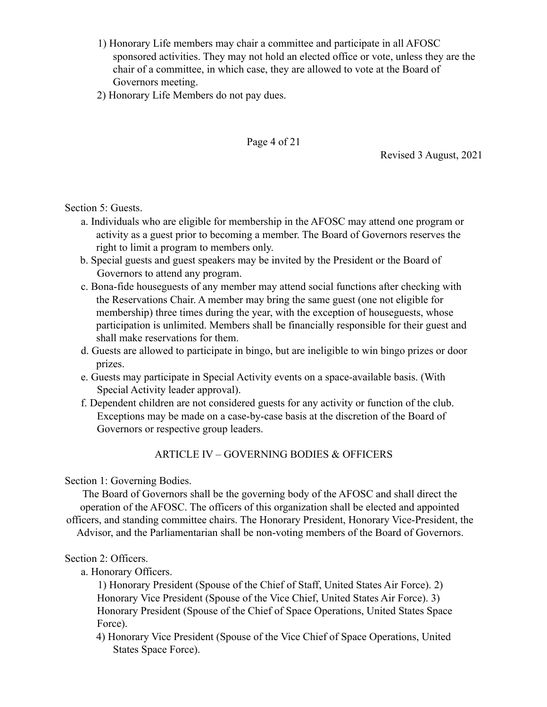- 1) Honorary Life members may chair a committee and participate in all AFOSC sponsored activities. They may not hold an elected office or vote, unless they are the chair of a committee, in which case, they are allowed to vote at the Board of Governors meeting.
- 2) Honorary Life Members do not pay dues.

Page 4 of 21

Revised 3 August, 2021

Section 5: Guests.

- a. Individuals who are eligible for membership in the AFOSC may attend one program or activity as a guest prior to becoming a member. The Board of Governors reserves the right to limit a program to members only.
- b. Special guests and guest speakers may be invited by the President or the Board of Governors to attend any program.
- c. Bona-fide houseguests of any member may attend social functions after checking with the Reservations Chair. A member may bring the same guest (one not eligible for membership) three times during the year, with the exception of houseguests, whose participation is unlimited. Members shall be financially responsible for their guest and shall make reservations for them.
- d. Guests are allowed to participate in bingo, but are ineligible to win bingo prizes or door prizes.
- e. Guests may participate in Special Activity events on a space-available basis. (With Special Activity leader approval).
- f. Dependent children are not considered guests for any activity or function of the club. Exceptions may be made on a case-by-case basis at the discretion of the Board of Governors or respective group leaders.

# ARTICLE IV – GOVERNING BODIES & OFFICERS

Section 1: Governing Bodies.

The Board of Governors shall be the governing body of the AFOSC and shall direct the operation of the AFOSC. The officers of this organization shall be elected and appointed officers, and standing committee chairs. The Honorary President, Honorary Vice-President, the Advisor, and the Parliamentarian shall be non-voting members of the Board of Governors.

### Section 2: Officers.

a. Honorary Officers.

1) Honorary President (Spouse of the Chief of Staff, United States Air Force). 2) Honorary Vice President (Spouse of the Vice Chief, United States Air Force). 3) Honorary President (Spouse of the Chief of Space Operations, United States Space Force).

4) Honorary Vice President (Spouse of the Vice Chief of Space Operations, United States Space Force).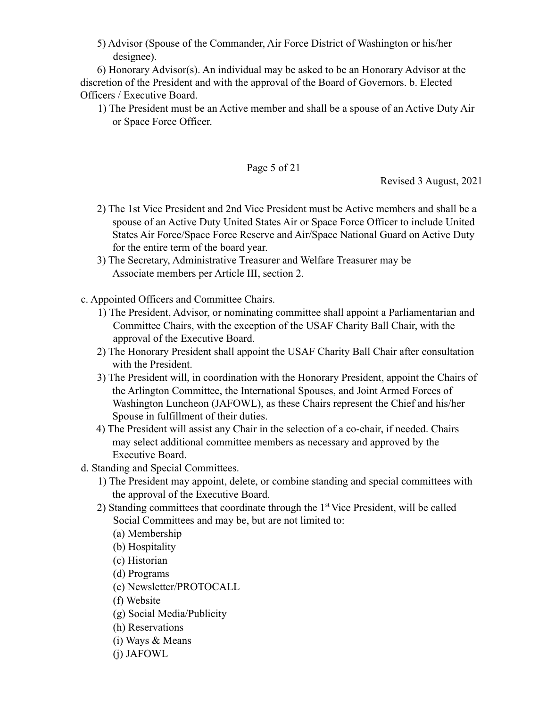5) Advisor (Spouse of the Commander, Air Force District of Washington or his/her designee).

6) Honorary Advisor(s). An individual may be asked to be an Honorary Advisor at the discretion of the President and with the approval of the Board of Governors. b. Elected Officers / Executive Board.

1) The President must be an Active member and shall be a spouse of an Active Duty Air or Space Force Officer.

### Page 5 of 21

Revised 3 August, 2021

- 2) The 1st Vice President and 2nd Vice President must be Active members and shall be a spouse of an Active Duty United States Air or Space Force Officer to include United States Air Force/Space Force Reserve and Air/Space National Guard on Active Duty for the entire term of the board year.
- 3) The Secretary, Administrative Treasurer and Welfare Treasurer may be Associate members per Article III, section 2.
- c. Appointed Officers and Committee Chairs.
	- 1) The President, Advisor, or nominating committee shall appoint a Parliamentarian and Committee Chairs, with the exception of the USAF Charity Ball Chair, with the approval of the Executive Board.
	- 2) The Honorary President shall appoint the USAF Charity Ball Chair after consultation with the President.
	- 3) The President will, in coordination with the Honorary President, appoint the Chairs of the Arlington Committee, the International Spouses, and Joint Armed Forces of Washington Luncheon (JAFOWL), as these Chairs represent the Chief and his/her Spouse in fulfillment of their duties.
	- 4) The President will assist any Chair in the selection of a co-chair, if needed. Chairs may select additional committee members as necessary and approved by the Executive Board.
- d. Standing and Special Committees.
	- 1) The President may appoint, delete, or combine standing and special committees with the approval of the Executive Board.
	- 2) Standing committees that coordinate through the  $1<sup>st</sup>$  Vice President, will be called Social Committees and may be, but are not limited to:
		- (a) Membership
		- (b) Hospitality
		- (c) Historian
		- (d) Programs
		- (e) Newsletter/PROTOCALL
		- (f) Website
		- (g) Social Media/Publicity
		- (h) Reservations
		- (i) Ways & Means
		- (j) JAFOWL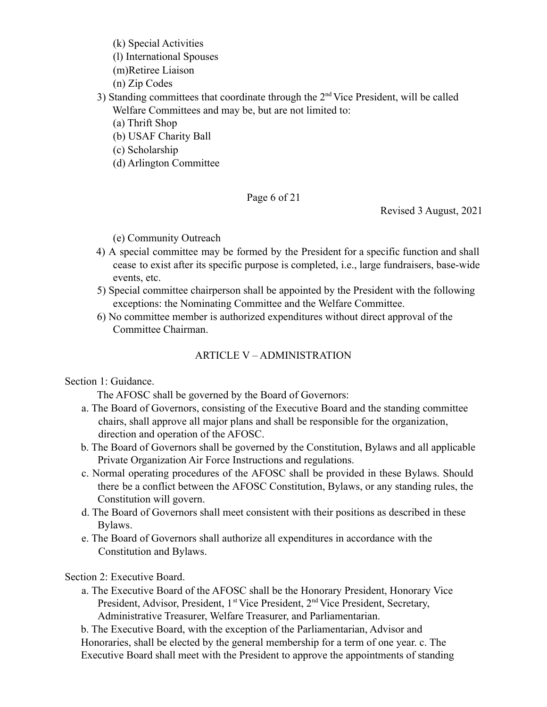(k) Special Activities

(l) International Spouses

(m)Retiree Liaison

(n) Zip Codes

- 3) Standing committees that coordinate through the  $2<sup>nd</sup>$  Vice President, will be called Welfare Committees and may be, but are not limited to:
	- (a) Thrift Shop
	- (b) USAF Charity Ball
	- (c) Scholarship
	- (d) Arlington Committee

Page 6 of 21

Revised 3 August, 2021

(e) Community Outreach

- 4) A special committee may be formed by the President for a specific function and shall cease to exist after its specific purpose is completed, i.e., large fundraisers, base-wide events, etc.
- 5) Special committee chairperson shall be appointed by the President with the following exceptions: the Nominating Committee and the Welfare Committee.
- 6) No committee member is authorized expenditures without direct approval of the Committee Chairman.

# ARTICLE V – ADMINISTRATION

# Section 1: Guidance.

The AFOSC shall be governed by the Board of Governors:

- a. The Board of Governors, consisting of the Executive Board and the standing committee chairs, shall approve all major plans and shall be responsible for the organization, direction and operation of the AFOSC.
- b. The Board of Governors shall be governed by the Constitution, Bylaws and all applicable Private Organization Air Force Instructions and regulations.
- c. Normal operating procedures of the AFOSC shall be provided in these Bylaws. Should there be a conflict between the AFOSC Constitution, Bylaws, or any standing rules, the Constitution will govern.
- d. The Board of Governors shall meet consistent with their positions as described in these Bylaws.
- e. The Board of Governors shall authorize all expenditures in accordance with the Constitution and Bylaws.

# Section 2: Executive Board.

a. The Executive Board of the AFOSC shall be the Honorary President, Honorary Vice President, Advisor, President, 1<sup>st</sup> Vice President, 2<sup>nd</sup> Vice President, Secretary, Administrative Treasurer, Welfare Treasurer, and Parliamentarian.

b. The Executive Board, with the exception of the Parliamentarian, Advisor and Honoraries, shall be elected by the general membership for a term of one year. c. The Executive Board shall meet with the President to approve the appointments of standing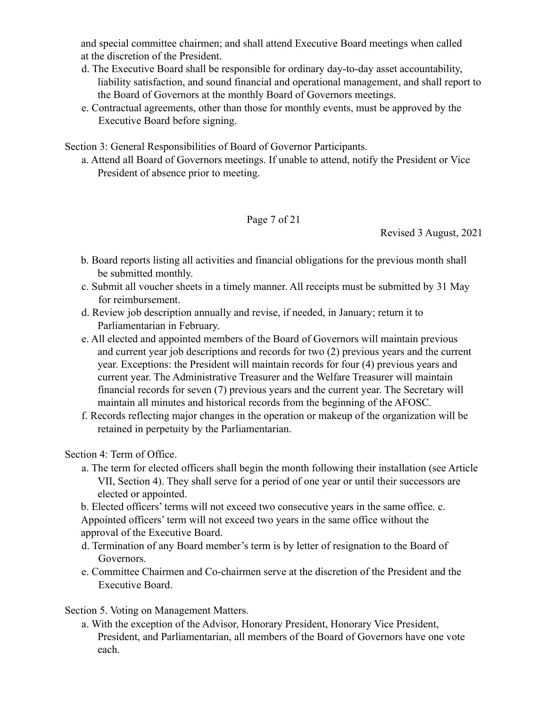and special committee chairmen; and shall attend Executive Board meetings when called at the discretion of the President.

- d. The Executive Board shall be responsible for ordinary day-to-day asset accountability, liability satisfaction, and sound financial and operational management, and shall report to the Board of Governors at the monthly Board of Governors meetings.
- e. Contractual agreements, other than those for monthly events, must be approved by the Executive Board before signing.

Section 3: General Responsibilities of Board of Governor Participants.

a. Attend all Board of Governors meetings. If unable to attend, notify the President or Vice President of absence prior to meeting.

Page 7 of 21

Revised 3 August, 2021

- b. Board reports listing all activities and financial obligations for the previous month shall be submitted monthly.
- c. Submit all voucher sheets in a timely manner. All receipts must be submitted by 31 May for reimbursement.
- d. Review job description annually and revise, if needed, in January; return it to Parliamentarian in February.
- e. All elected and appointed members of the Board of Governors will maintain previous and current year job descriptions and records for two (2) previous years and the current year. Exceptions: the President will maintain records for four (4) previous years and current year. The Administrative Treasurer and the Welfare Treasurer will maintain financial records for seven (7) previous years and the current year. The Secretary will maintain all minutes and historical records from the beginning of the AFOSC.
- f. Records reflecting major changes in the operation or makeup of the organization will be retained in perpetuity by the Parliamentarian.

Section 4: Term of Office.

a. The term for elected officers shall begin the month following their installation (see Article VII, Section 4). They shall serve for a period of one year or until their successors are elected or appointed.

b. Elected officers' terms will not exceed two consecutive years in the same office. c. Appointed officers' term will not exceed two years in the same office without the approval of the Executive Board.

- d. Termination of any Board member's term is by letter of resignation to the Board of Governors.
- e. Committee Chairmen and Co-chairmen serve at the discretion of the President and the Executive Board.

Section 5. Voting on Management Matters.

a. With the exception of the Advisor, Honorary President, Honorary Vice President, President, and Parliamentarian, all members of the Board of Governors have one vote each.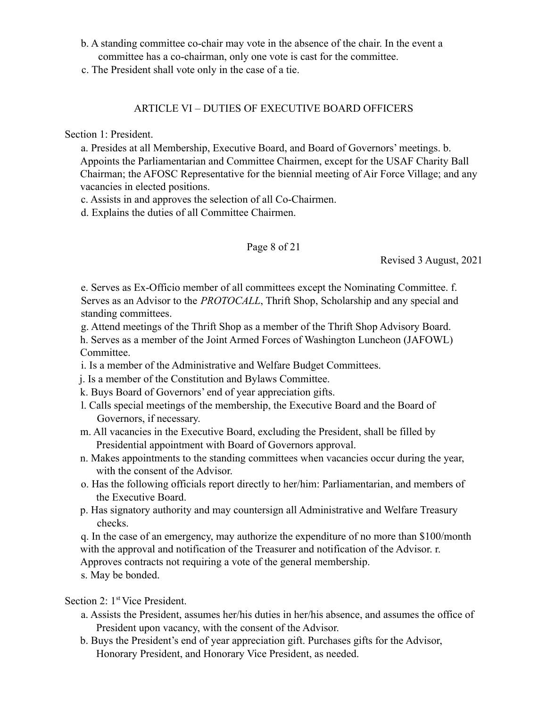- b. A standing committee co-chair may vote in the absence of the chair. In the event a committee has a co-chairman, only one vote is cast for the committee.
- c. The President shall vote only in the case of a tie.

### ARTICLE VI – DUTIES OF EXECUTIVE BOARD OFFICERS

Section 1: President.

a. Presides at all Membership, Executive Board, and Board of Governors' meetings. b. Appoints the Parliamentarian and Committee Chairmen, except for the USAF Charity Ball Chairman; the AFOSC Representative for the biennial meeting of Air Force Village; and any vacancies in elected positions.

c. Assists in and approves the selection of all Co-Chairmen.

d. Explains the duties of all Committee Chairmen.

### Page 8 of 21

Revised 3 August, 2021

e. Serves as Ex-Officio member of all committees except the Nominating Committee. f. Serves as an Advisor to the *PROTOCALL*, Thrift Shop, Scholarship and any special and standing committees.

g. Attend meetings of the Thrift Shop as a member of the Thrift Shop Advisory Board.

h. Serves as a member of the Joint Armed Forces of Washington Luncheon (JAFOWL) Committee.

i. Is a member of the Administrative and Welfare Budget Committees.

j. Is a member of the Constitution and Bylaws Committee.

- k. Buys Board of Governors' end of year appreciation gifts.
- l. Calls special meetings of the membership, the Executive Board and the Board of Governors, if necessary.
- m. All vacancies in the Executive Board, excluding the President, shall be filled by Presidential appointment with Board of Governors approval.
- n. Makes appointments to the standing committees when vacancies occur during the year, with the consent of the Advisor.
- o. Has the following officials report directly to her/him: Parliamentarian, and members of the Executive Board.
- p. Has signatory authority and may countersign all Administrative and Welfare Treasury checks.

q. In the case of an emergency, may authorize the expenditure of no more than \$100/month with the approval and notification of the Treasurer and notification of the Advisor. r.

Approves contracts not requiring a vote of the general membership.

s. May be bonded.

Section 2: 1<sup>st</sup> Vice President.

- a. Assists the President, assumes her/his duties in her/his absence, and assumes the office of President upon vacancy, with the consent of the Advisor.
- b. Buys the President's end of year appreciation gift. Purchases gifts for the Advisor, Honorary President, and Honorary Vice President, as needed.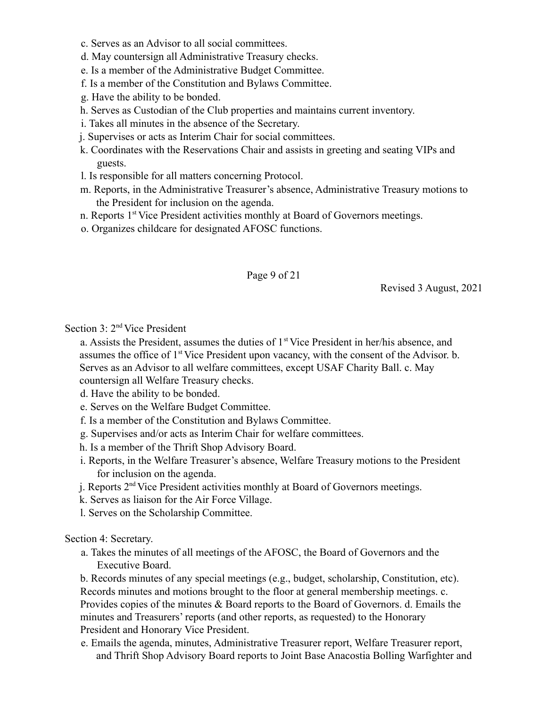- c. Serves as an Advisor to all social committees.
- d. May countersign all Administrative Treasury checks.
- e. Is a member of the Administrative Budget Committee.
- f. Is a member of the Constitution and Bylaws Committee.
- g. Have the ability to be bonded.
- h. Serves as Custodian of the Club properties and maintains current inventory.
- i. Takes all minutes in the absence of the Secretary.
- j. Supervises or acts as Interim Chair for social committees.
- k. Coordinates with the Reservations Chair and assists in greeting and seating VIPs and guests.
- l. Is responsible for all matters concerning Protocol.
- m. Reports, in the Administrative Treasurer's absence, Administrative Treasury motions to the President for inclusion on the agenda.
- n. Reports 1<sup>st</sup> Vice President activities monthly at Board of Governors meetings.
- o. Organizes childcare for designated AFOSC functions.

### Page 9 of 21

Revised 3 August, 2021

Section 3: 2<sup>nd</sup> Vice President

a. Assists the President, assumes the duties of  $1<sup>st</sup>$  Vice President in her/his absence, and assumes the office of 1<sup>st</sup> Vice President upon vacancy, with the consent of the Advisor. b. Serves as an Advisor to all welfare committees, except USAF Charity Ball. c. May countersign all Welfare Treasury checks.

d. Have the ability to be bonded.

- e. Serves on the Welfare Budget Committee.
- f. Is a member of the Constitution and Bylaws Committee.
- g. Supervises and/or acts as Interim Chair for welfare committees.
- h. Is a member of the Thrift Shop Advisory Board.
- i. Reports, in the Welfare Treasurer's absence, Welfare Treasury motions to the President for inclusion on the agenda.
- j. Reports 2nd Vice President activities monthly at Board of Governors meetings.
- k. Serves as liaison for the Air Force Village.
- l. Serves on the Scholarship Committee.

Section 4: Secretary.

a. Takes the minutes of all meetings of the AFOSC, the Board of Governors and the Executive Board.

b. Records minutes of any special meetings (e.g., budget, scholarship, Constitution, etc). Records minutes and motions brought to the floor at general membership meetings. c. Provides copies of the minutes & Board reports to the Board of Governors. d. Emails the minutes and Treasurers' reports (and other reports, as requested) to the Honorary President and Honorary Vice President.

e. Emails the agenda, minutes, Administrative Treasurer report, Welfare Treasurer report, and Thrift Shop Advisory Board reports to Joint Base Anacostia Bolling Warfighter and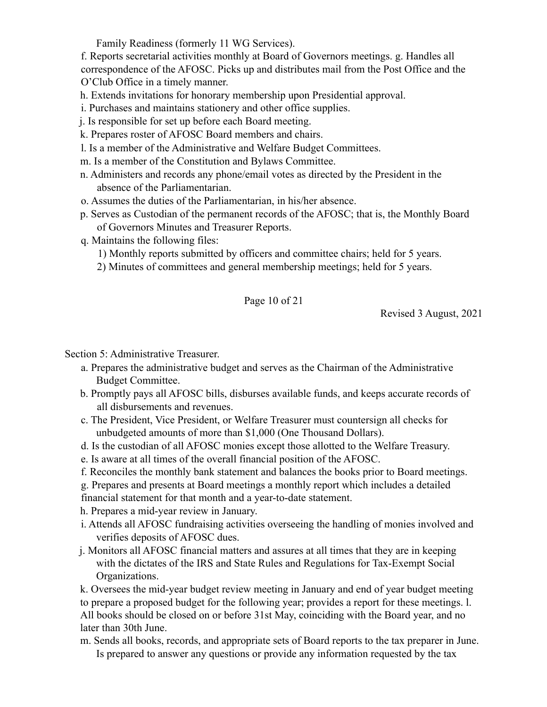Family Readiness (formerly 11 WG Services).

f. Reports secretarial activities monthly at Board of Governors meetings. g. Handles all correspondence of the AFOSC. Picks up and distributes mail from the Post Office and the O'Club Office in a timely manner.

h. Extends invitations for honorary membership upon Presidential approval.

- i. Purchases and maintains stationery and other office supplies.
- j. Is responsible for set up before each Board meeting.
- k. Prepares roster of AFOSC Board members and chairs.
- l. Is a member of the Administrative and Welfare Budget Committees.
- m. Is a member of the Constitution and Bylaws Committee.
- n. Administers and records any phone/email votes as directed by the President in the absence of the Parliamentarian.
- o. Assumes the duties of the Parliamentarian, in his/her absence.
- p. Serves as Custodian of the permanent records of the AFOSC; that is, the Monthly Board of Governors Minutes and Treasurer Reports.
- q. Maintains the following files:
	- 1) Monthly reports submitted by officers and committee chairs; held for 5 years.
	- 2) Minutes of committees and general membership meetings; held for 5 years.

### Page 10 of 21

Revised 3 August, 2021

Section 5: Administrative Treasurer.

- a. Prepares the administrative budget and serves as the Chairman of the Administrative Budget Committee.
- b. Promptly pays all AFOSC bills, disburses available funds, and keeps accurate records of all disbursements and revenues.
- c. The President, Vice President, or Welfare Treasurer must countersign all checks for unbudgeted amounts of more than \$1,000 (One Thousand Dollars).
- d. Is the custodian of all AFOSC monies except those allotted to the Welfare Treasury.
- e. Is aware at all times of the overall financial position of the AFOSC.
- f. Reconciles the monthly bank statement and balances the books prior to Board meetings.
- g. Prepares and presents at Board meetings a monthly report which includes a detailed
- financial statement for that month and a year-to-date statement.
- h. Prepares a mid-year review in January.
- i. Attends all AFOSC fundraising activities overseeing the handling of monies involved and verifies deposits of AFOSC dues.
- j. Monitors all AFOSC financial matters and assures at all times that they are in keeping with the dictates of the IRS and State Rules and Regulations for Tax-Exempt Social Organizations.
- k. Oversees the mid-year budget review meeting in January and end of year budget meeting to prepare a proposed budget for the following year; provides a report for these meetings. l. All books should be closed on or before 31st May, coinciding with the Board year, and no later than 30th June.
- m. Sends all books, records, and appropriate sets of Board reports to the tax preparer in June. Is prepared to answer any questions or provide any information requested by the tax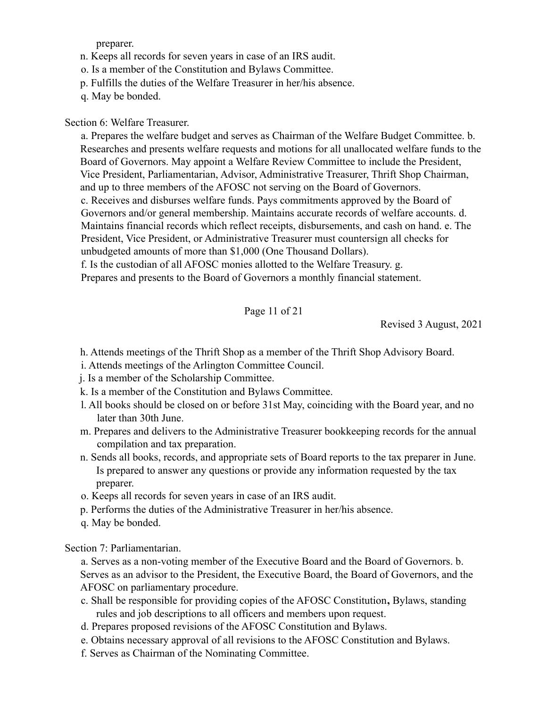preparer.

n. Keeps all records for seven years in case of an IRS audit.

o. Is a member of the Constitution and Bylaws Committee.

p. Fulfills the duties of the Welfare Treasurer in her/his absence.

q. May be bonded.

### Section 6: Welfare Treasurer.

a. Prepares the welfare budget and serves as Chairman of the Welfare Budget Committee. b. Researches and presents welfare requests and motions for all unallocated welfare funds to the Board of Governors. May appoint a Welfare Review Committee to include the President, Vice President, Parliamentarian, Advisor, Administrative Treasurer, Thrift Shop Chairman, and up to three members of the AFOSC not serving on the Board of Governors. c. Receives and disburses welfare funds. Pays commitments approved by the Board of Governors and/or general membership. Maintains accurate records of welfare accounts. d. Maintains financial records which reflect receipts, disbursements, and cash on hand. e. The President, Vice President, or Administrative Treasurer must countersign all checks for unbudgeted amounts of more than \$1,000 (One Thousand Dollars). f. Is the custodian of all AFOSC monies allotted to the Welfare Treasury. g.

Prepares and presents to the Board of Governors a monthly financial statement.

Page 11 of 21

Revised 3 August, 2021

h. Attends meetings of the Thrift Shop as a member of the Thrift Shop Advisory Board.

- i. Attends meetings of the Arlington Committee Council.
- j. Is a member of the Scholarship Committee.
- k. Is a member of the Constitution and Bylaws Committee.
- l. All books should be closed on or before 31st May, coinciding with the Board year, and no later than 30th June.
- m. Prepares and delivers to the Administrative Treasurer bookkeeping records for the annual compilation and tax preparation.
- n. Sends all books, records, and appropriate sets of Board reports to the tax preparer in June. Is prepared to answer any questions or provide any information requested by the tax preparer.
- o. Keeps all records for seven years in case of an IRS audit.
- p. Performs the duties of the Administrative Treasurer in her/his absence.
- q. May be bonded.

Section 7: Parliamentarian.

a. Serves as a non-voting member of the Executive Board and the Board of Governors. b. Serves as an advisor to the President, the Executive Board, the Board of Governors, and the AFOSC on parliamentary procedure.

- c. Shall be responsible for providing copies of the AFOSC Constitution**,** Bylaws, standing rules and job descriptions to all officers and members upon request.
- d. Prepares proposed revisions of the AFOSC Constitution and Bylaws.
- e. Obtains necessary approval of all revisions to the AFOSC Constitution and Bylaws.
- f. Serves as Chairman of the Nominating Committee.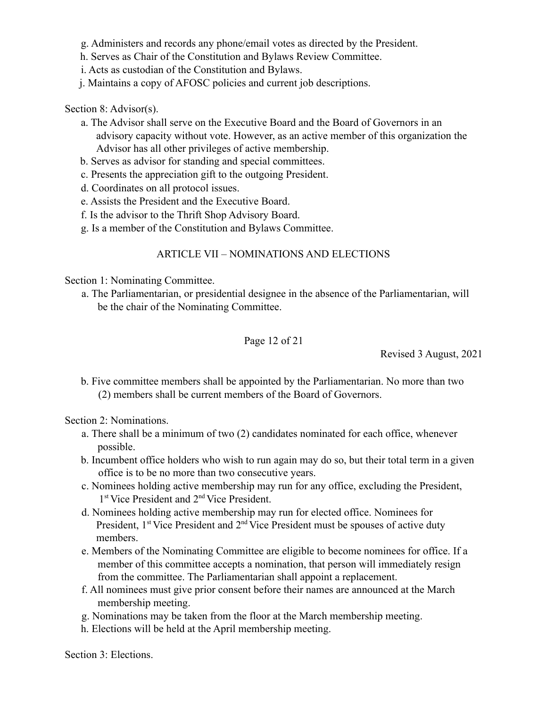g. Administers and records any phone/email votes as directed by the President.

h. Serves as Chair of the Constitution and Bylaws Review Committee.

i. Acts as custodian of the Constitution and Bylaws.

j. Maintains a copy of AFOSC policies and current job descriptions.

Section 8: Advisor(s).

- a. The Advisor shall serve on the Executive Board and the Board of Governors in an advisory capacity without vote. However, as an active member of this organization the Advisor has all other privileges of active membership.
- b. Serves as advisor for standing and special committees.
- c. Presents the appreciation gift to the outgoing President.
- d. Coordinates on all protocol issues.
- e. Assists the President and the Executive Board.
- f. Is the advisor to the Thrift Shop Advisory Board.
- g. Is a member of the Constitution and Bylaws Committee.

# ARTICLE VII – NOMINATIONS AND ELECTIONS

Section 1: Nominating Committee.

a. The Parliamentarian, or presidential designee in the absence of the Parliamentarian, will be the chair of the Nominating Committee.

Page 12 of 21

Revised 3 August, 2021

b. Five committee members shall be appointed by the Parliamentarian. No more than two (2) members shall be current members of the Board of Governors.

Section 2: Nominations.

- a. There shall be a minimum of two (2) candidates nominated for each office, whenever possible.
- b. Incumbent office holders who wish to run again may do so, but their total term in a given office is to be no more than two consecutive years.
- c. Nominees holding active membership may run for any office, excluding the President, 1 st Vice President and 2nd Vice President.
- d. Nominees holding active membership may run for elected office. Nominees for President,  $1<sup>st</sup>$  Vice President and  $2<sup>nd</sup>$  Vice President must be spouses of active duty members.
- e. Members of the Nominating Committee are eligible to become nominees for office. If a member of this committee accepts a nomination, that person will immediately resign from the committee. The Parliamentarian shall appoint a replacement.
- f. All nominees must give prior consent before their names are announced at the March membership meeting.
- g. Nominations may be taken from the floor at the March membership meeting.
- h. Elections will be held at the April membership meeting.

Section 3: Elections.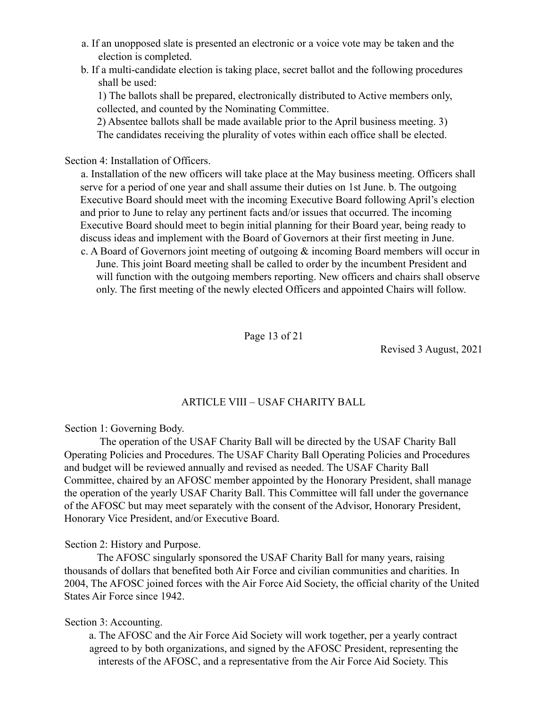- a. If an unopposed slate is presented an electronic or a voice vote may be taken and the election is completed.
- b. If a multi-candidate election is taking place, secret ballot and the following procedures shall be used:

1) The ballots shall be prepared, electronically distributed to Active members only, collected, and counted by the Nominating Committee.

2) Absentee ballots shall be made available prior to the April business meeting. 3) The candidates receiving the plurality of votes within each office shall be elected.

Section 4: Installation of Officers.

a. Installation of the new officers will take place at the May business meeting. Officers shall serve for a period of one year and shall assume their duties on 1st June. b. The outgoing Executive Board should meet with the incoming Executive Board following April's election and prior to June to relay any pertinent facts and/or issues that occurred. The incoming Executive Board should meet to begin initial planning for their Board year, being ready to discuss ideas and implement with the Board of Governors at their first meeting in June.

c. A Board of Governors joint meeting of outgoing & incoming Board members will occur in June. This joint Board meeting shall be called to order by the incumbent President and will function with the outgoing members reporting. New officers and chairs shall observe only. The first meeting of the newly elected Officers and appointed Chairs will follow.

Page 13 of 21

Revised 3 August, 2021

# ARTICLE VIII – USAF CHARITY BALL

Section 1: Governing Body.

The operation of the USAF Charity Ball will be directed by the USAF Charity Ball Operating Policies and Procedures. The USAF Charity Ball Operating Policies and Procedures and budget will be reviewed annually and revised as needed. The USAF Charity Ball Committee, chaired by an AFOSC member appointed by the Honorary President, shall manage the operation of the yearly USAF Charity Ball. This Committee will fall under the governance of the AFOSC but may meet separately with the consent of the Advisor, Honorary President, Honorary Vice President, and/or Executive Board.

Section 2: History and Purpose.

The AFOSC singularly sponsored the USAF Charity Ball for many years, raising thousands of dollars that benefited both Air Force and civilian communities and charities. In 2004, The AFOSC joined forces with the Air Force Aid Society, the official charity of the United States Air Force since 1942.

### Section 3: Accounting.

a. The AFOSC and the Air Force Aid Society will work together, per a yearly contract agreed to by both organizations, and signed by the AFOSC President, representing the interests of the AFOSC, and a representative from the Air Force Aid Society. This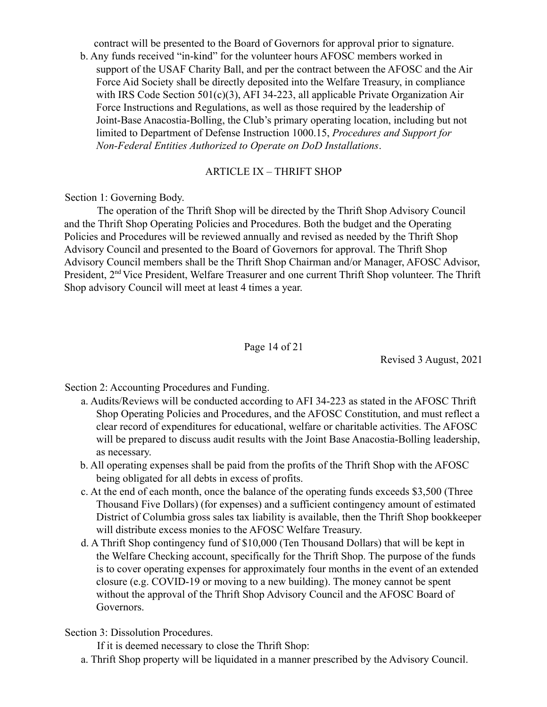contract will be presented to the Board of Governors for approval prior to signature.

b. Any funds received "in-kind" for the volunteer hours AFOSC members worked in support of the USAF Charity Ball, and per the contract between the AFOSC and the Air Force Aid Society shall be directly deposited into the Welfare Treasury, in compliance with IRS Code Section 501(c)(3), AFI 34-223, all applicable Private Organization Air Force Instructions and Regulations, as well as those required by the leadership of Joint-Base Anacostia-Bolling, the Club's primary operating location, including but not limited to Department of Defense Instruction 1000.15, *Procedures and Support for Non-Federal Entities Authorized to Operate on DoD Installations*.

#### ARTICLE IX – THRIFT SHOP

Section 1: Governing Body.

The operation of the Thrift Shop will be directed by the Thrift Shop Advisory Council and the Thrift Shop Operating Policies and Procedures. Both the budget and the Operating Policies and Procedures will be reviewed annually and revised as needed by the Thrift Shop Advisory Council and presented to the Board of Governors for approval. The Thrift Shop Advisory Council members shall be the Thrift Shop Chairman and/or Manager, AFOSC Advisor, President, 2nd Vice President, Welfare Treasurer and one current Thrift Shop volunteer. The Thrift Shop advisory Council will meet at least 4 times a year.

### Page 14 of 21

Revised 3 August, 2021

Section 2: Accounting Procedures and Funding.

- a. Audits/Reviews will be conducted according to AFI 34-223 as stated in the AFOSC Thrift Shop Operating Policies and Procedures, and the AFOSC Constitution, and must reflect a clear record of expenditures for educational, welfare or charitable activities. The AFOSC will be prepared to discuss audit results with the Joint Base Anacostia-Bolling leadership, as necessary.
- b. All operating expenses shall be paid from the profits of the Thrift Shop with the AFOSC being obligated for all debts in excess of profits.
- c. At the end of each month, once the balance of the operating funds exceeds \$3,500 (Three Thousand Five Dollars) (for expenses) and a sufficient contingency amount of estimated District of Columbia gross sales tax liability is available, then the Thrift Shop bookkeeper will distribute excess monies to the AFOSC Welfare Treasury.
- d. A Thrift Shop contingency fund of \$10,000 (Ten Thousand Dollars) that will be kept in the Welfare Checking account, specifically for the Thrift Shop. The purpose of the funds is to cover operating expenses for approximately four months in the event of an extended closure (e.g. COVID-19 or moving to a new building). The money cannot be spent without the approval of the Thrift Shop Advisory Council and the AFOSC Board of Governors.

Section 3: Dissolution Procedures.

If it is deemed necessary to close the Thrift Shop:

a. Thrift Shop property will be liquidated in a manner prescribed by the Advisory Council.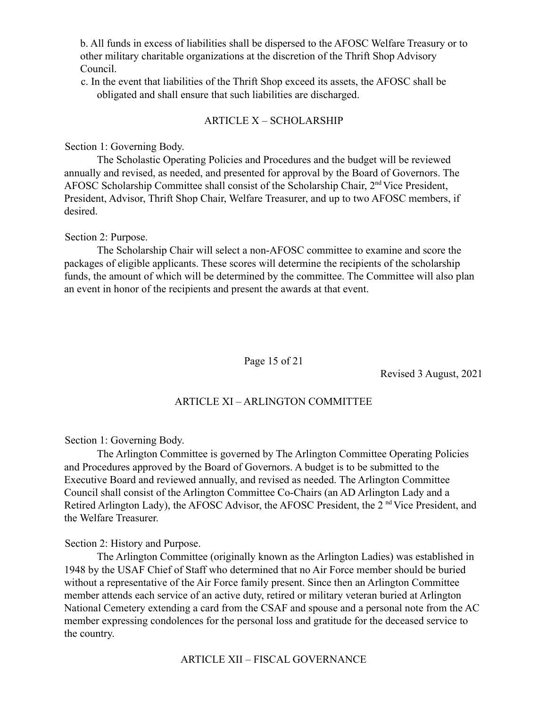b. All funds in excess of liabilities shall be dispersed to the AFOSC Welfare Treasury or to other military charitable organizations at the discretion of the Thrift Shop Advisory Council.

c. In the event that liabilities of the Thrift Shop exceed its assets, the AFOSC shall be obligated and shall ensure that such liabilities are discharged.

#### ARTICLE X – SCHOLARSHIP

Section 1: Governing Body.

The Scholastic Operating Policies and Procedures and the budget will be reviewed annually and revised, as needed, and presented for approval by the Board of Governors. The AFOSC Scholarship Committee shall consist of the Scholarship Chair, 2<sup>nd</sup> Vice President, President, Advisor, Thrift Shop Chair, Welfare Treasurer, and up to two AFOSC members, if desired.

Section 2: Purpose.

The Scholarship Chair will select a non-AFOSC committee to examine and score the packages of eligible applicants. These scores will determine the recipients of the scholarship funds, the amount of which will be determined by the committee. The Committee will also plan an event in honor of the recipients and present the awards at that event.

### Page 15 of 21

Revised 3 August, 2021

### ARTICLE XI – ARLINGTON COMMITTEE

Section 1: Governing Body.

The Arlington Committee is governed by The Arlington Committee Operating Policies and Procedures approved by the Board of Governors. A budget is to be submitted to the Executive Board and reviewed annually, and revised as needed. The Arlington Committee Council shall consist of the Arlington Committee Co-Chairs (an AD Arlington Lady and a Retired Arlington Lady), the AFOSC Advisor, the AFOSC President, the 2<sup>nd</sup> Vice President, and the Welfare Treasurer.

Section 2: History and Purpose.

The Arlington Committee (originally known as the Arlington Ladies) was established in 1948 by the USAF Chief of Staff who determined that no Air Force member should be buried without a representative of the Air Force family present. Since then an Arlington Committee member attends each service of an active duty, retired or military veteran buried at Arlington National Cemetery extending a card from the CSAF and spouse and a personal note from the AC member expressing condolences for the personal loss and gratitude for the deceased service to the country.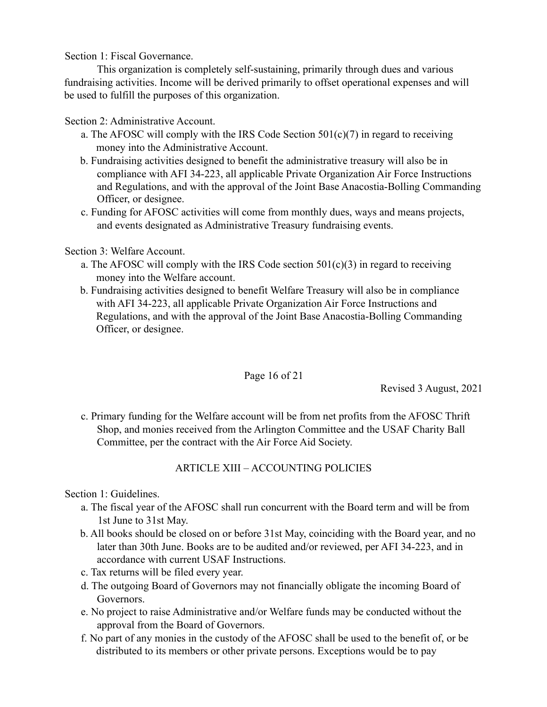Section 1: Fiscal Governance.

This organization is completely self-sustaining, primarily through dues and various fundraising activities. Income will be derived primarily to offset operational expenses and will be used to fulfill the purposes of this organization.

Section 2: Administrative Account.

- a. The AFOSC will comply with the IRS Code Section  $501(c)(7)$  in regard to receiving money into the Administrative Account.
- b. Fundraising activities designed to benefit the administrative treasury will also be in compliance with AFI 34-223, all applicable Private Organization Air Force Instructions and Regulations, and with the approval of the Joint Base Anacostia-Bolling Commanding Officer, or designee.
- c. Funding for AFOSC activities will come from monthly dues, ways and means projects, and events designated as Administrative Treasury fundraising events.

### Section 3: Welfare Account.

- a. The AFOSC will comply with the IRS Code section  $501(c)(3)$  in regard to receiving money into the Welfare account.
- b. Fundraising activities designed to benefit Welfare Treasury will also be in compliance with AFI 34-223, all applicable Private Organization Air Force Instructions and Regulations, and with the approval of the Joint Base Anacostia-Bolling Commanding Officer, or designee.

# Page 16 of 21

Revised 3 August, 2021

c. Primary funding for the Welfare account will be from net profits from the AFOSC Thrift Shop, and monies received from the Arlington Committee and the USAF Charity Ball Committee, per the contract with the Air Force Aid Society.

# ARTICLE XIII – ACCOUNTING POLICIES

Section 1: Guidelines.

- a. The fiscal year of the AFOSC shall run concurrent with the Board term and will be from 1st June to 31st May.
- b. All books should be closed on or before 31st May, coinciding with the Board year, and no later than 30th June. Books are to be audited and/or reviewed, per AFI 34-223, and in accordance with current USAF Instructions.
- c. Tax returns will be filed every year.
- d. The outgoing Board of Governors may not financially obligate the incoming Board of Governors.
- e. No project to raise Administrative and/or Welfare funds may be conducted without the approval from the Board of Governors.
- f. No part of any monies in the custody of the AFOSC shall be used to the benefit of, or be distributed to its members or other private persons. Exceptions would be to pay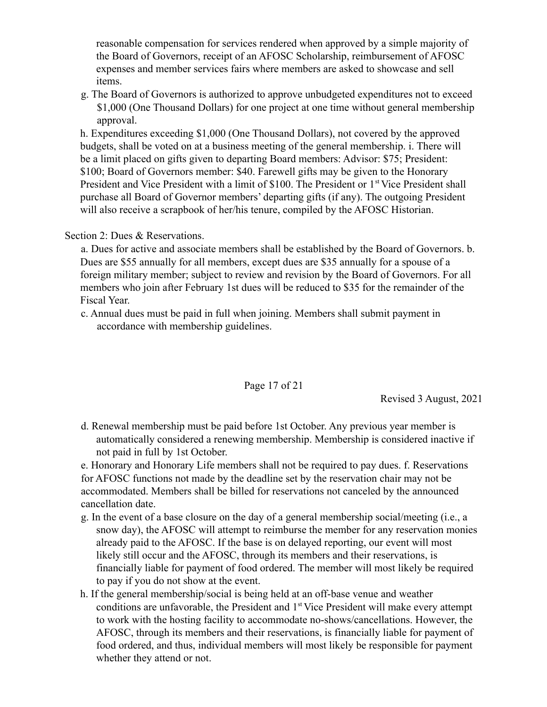reasonable compensation for services rendered when approved by a simple majority of the Board of Governors, receipt of an AFOSC Scholarship, reimbursement of AFOSC expenses and member services fairs where members are asked to showcase and sell items.

g. The Board of Governors is authorized to approve unbudgeted expenditures not to exceed \$1,000 (One Thousand Dollars) for one project at one time without general membership approval.

h. Expenditures exceeding \$1,000 (One Thousand Dollars), not covered by the approved budgets, shall be voted on at a business meeting of the general membership. i. There will be a limit placed on gifts given to departing Board members: Advisor: \$75; President: \$100; Board of Governors member: \$40. Farewell gifts may be given to the Honorary President and Vice President with a limit of \$100. The President or 1<sup>st</sup> Vice President shall purchase all Board of Governor members' departing gifts (if any). The outgoing President will also receive a scrapbook of her/his tenure, compiled by the AFOSC Historian.

Section 2: Dues & Reservations.

a. Dues for active and associate members shall be established by the Board of Governors. b. Dues are \$55 annually for all members, except dues are \$35 annually for a spouse of a foreign military member; subject to review and revision by the Board of Governors. For all members who join after February 1st dues will be reduced to \$35 for the remainder of the Fiscal Year.

c. Annual dues must be paid in full when joining. Members shall submit payment in accordance with membership guidelines.

### Page 17 of 21

Revised 3 August, 2021

d. Renewal membership must be paid before 1st October. Any previous year member is automatically considered a renewing membership. Membership is considered inactive if not paid in full by 1st October.

e. Honorary and Honorary Life members shall not be required to pay dues. f. Reservations for AFOSC functions not made by the deadline set by the reservation chair may not be accommodated. Members shall be billed for reservations not canceled by the announced cancellation date.

- g. In the event of a base closure on the day of a general membership social/meeting (i.e., a snow day), the AFOSC will attempt to reimburse the member for any reservation monies already paid to the AFOSC. If the base is on delayed reporting, our event will most likely still occur and the AFOSC, through its members and their reservations, is financially liable for payment of food ordered. The member will most likely be required to pay if you do not show at the event.
- h. If the general membership/social is being held at an off-base venue and weather conditions are unfavorable, the President and 1<sup>st</sup> Vice President will make every attempt to work with the hosting facility to accommodate no-shows/cancellations. However, the AFOSC, through its members and their reservations, is financially liable for payment of food ordered, and thus, individual members will most likely be responsible for payment whether they attend or not.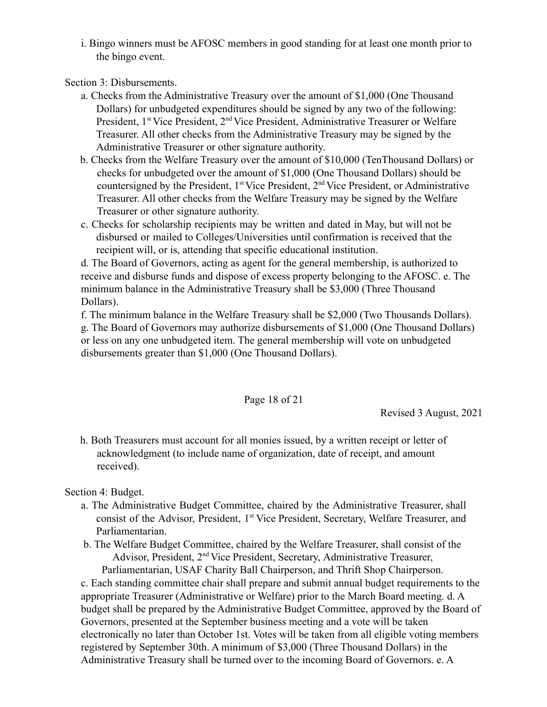i. Bingo winners must be AFOSC members in good standing for at least one month prior to the bingo event.

Section 3: Disbursements.

- a. Checks from the Administrative Treasury over the amount of \$1,000 (One Thousand Dollars) for unbudgeted expenditures should be signed by any two of the following: President, 1<sup>st</sup> Vice President, 2<sup>nd</sup> Vice President, Administrative Treasurer or Welfare Treasurer. All other checks from the Administrative Treasury may be signed by the Administrative Treasurer or other signature authority.
- b. Checks from the Welfare Treasury over the amount of \$10,000 (TenThousand Dollars) or checks for unbudgeted over the amount of \$1,000 (One Thousand Dollars) should be countersigned by the President,  $1^{st}$  Vice President,  $2^{nd}$  Vice President, or Administrative Treasurer. All other checks from the Welfare Treasury may be signed by the Welfare Treasurer or other signature authority.
- c. Checks for scholarship recipients may be written and dated in May, but will not be disbursed or mailed to Colleges/Universities until confirmation is received that the recipient will, or is, attending that specific educational institution.

d. The Board of Governors, acting as agent for the general membership, is authorized to receive and disburse funds and dispose of excess property belonging to the AFOSC. e. The minimum balance in the Administrative Treasury shall be \$3,000 (Three Thousand Dollars).

f. The minimum balance in the Welfare Treasury shall be \$2,000 (Two Thousands Dollars). g. The Board of Governors may authorize disbursements of \$1,000 (One Thousand Dollars) or less on any one unbudgeted item. The general membership will vote on unbudgeted disbursements greater than \$1,000 (One Thousand Dollars).

Page 18 of 21

Revised 3 August, 2021

h. Both Treasurers must account for all monies issued, by a written receipt or letter of acknowledgment (to include name of organization, date of receipt, and amount received).

Section 4: Budget.

- a. The Administrative Budget Committee, chaired by the Administrative Treasurer, shall consist of the Advisor, President, 1<sup>st</sup> Vice President, Secretary, Welfare Treasurer, and Parliamentarian.
- b. The Welfare Budget Committee, chaired by the Welfare Treasurer, shall consist of the Advisor, President, 2<sup>nd</sup> Vice President, Secretary, Administrative Treasurer, Parliamentarian, USAF Charity Ball Chairperson, and Thrift Shop Chairperson.

c. Each standing committee chair shall prepare and submit annual budget requirements to the appropriate Treasurer (Administrative or Welfare) prior to the March Board meeting. d. A budget shall be prepared by the Administrative Budget Committee, approved by the Board of Governors, presented at the September business meeting and a vote will be taken electronically no later than October 1st. Votes will be taken from all eligible voting members registered by September 30th. A minimum of \$3,000 (Three Thousand Dollars) in the Administrative Treasury shall be turned over to the incoming Board of Governors. e. A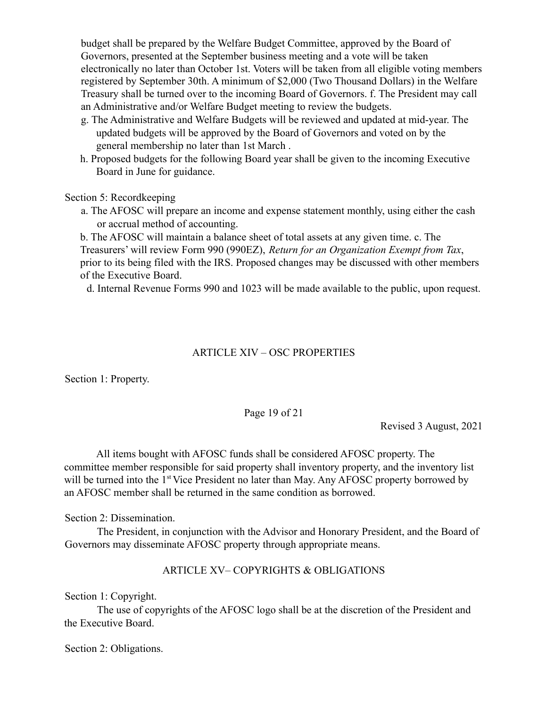budget shall be prepared by the Welfare Budget Committee, approved by the Board of Governors, presented at the September business meeting and a vote will be taken electronically no later than October 1st. Voters will be taken from all eligible voting members registered by September 30th. A minimum of \$2,000 (Two Thousand Dollars) in the Welfare Treasury shall be turned over to the incoming Board of Governors. f. The President may call an Administrative and/or Welfare Budget meeting to review the budgets.

- g. The Administrative and Welfare Budgets will be reviewed and updated at mid-year. The updated budgets will be approved by the Board of Governors and voted on by the general membership no later than 1st March .
- h. Proposed budgets for the following Board year shall be given to the incoming Executive Board in June for guidance.

Section 5: Recordkeeping

a. The AFOSC will prepare an income and expense statement monthly, using either the cash or accrual method of accounting.

b. The AFOSC will maintain a balance sheet of total assets at any given time. c. The Treasurers' will review Form 990 (990EZ), *Return for an Organization Exempt from Tax*, prior to its being filed with the IRS. Proposed changes may be discussed with other members of the Executive Board.

d. Internal Revenue Forms 990 and 1023 will be made available to the public, upon request.

# ARTICLE XIV – OSC PROPERTIES

Section 1: Property.

Page 19 of 21

Revised 3 August, 2021

All items bought with AFOSC funds shall be considered AFOSC property. The committee member responsible for said property shall inventory property, and the inventory list will be turned into the 1<sup>st</sup> Vice President no later than May. Any AFOSC property borrowed by an AFOSC member shall be returned in the same condition as borrowed.

Section 2: Dissemination.

The President, in conjunction with the Advisor and Honorary President, and the Board of Governors may disseminate AFOSC property through appropriate means.

# ARTICLE XV– COPYRIGHTS & OBLIGATIONS

Section 1: Copyright.

The use of copyrights of the AFOSC logo shall be at the discretion of the President and the Executive Board.

Section 2: Obligations.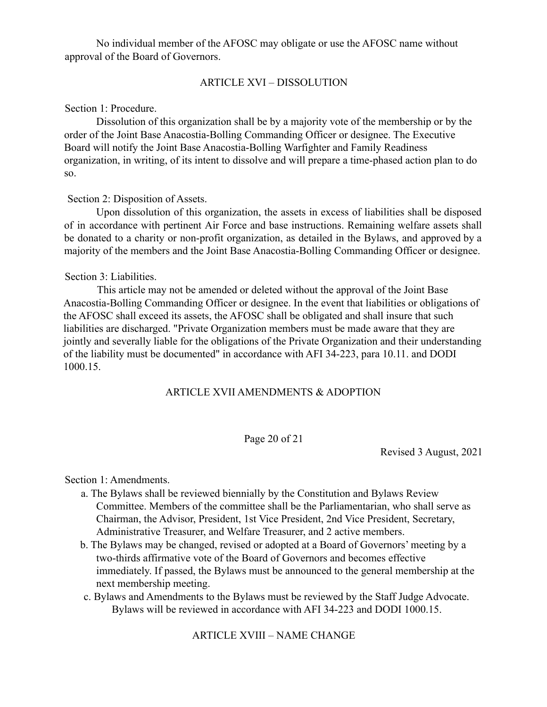No individual member of the AFOSC may obligate or use the AFOSC name without approval of the Board of Governors.

#### ARTICLE XVI – DISSOLUTION

#### Section 1: Procedure.

Dissolution of this organization shall be by a majority vote of the membership or by the order of the Joint Base Anacostia-Bolling Commanding Officer or designee. The Executive Board will notify the Joint Base Anacostia-Bolling Warfighter and Family Readiness organization, in writing, of its intent to dissolve and will prepare a time-phased action plan to do so.

#### Section 2: Disposition of Assets.

Upon dissolution of this organization, the assets in excess of liabilities shall be disposed of in accordance with pertinent Air Force and base instructions. Remaining welfare assets shall be donated to a charity or non-profit organization, as detailed in the Bylaws, and approved by a majority of the members and the Joint Base Anacostia-Bolling Commanding Officer or designee.

#### Section 3: Liabilities.

This article may not be amended or deleted without the approval of the Joint Base Anacostia-Bolling Commanding Officer or designee. In the event that liabilities or obligations of the AFOSC shall exceed its assets, the AFOSC shall be obligated and shall insure that such liabilities are discharged. "Private Organization members must be made aware that they are jointly and severally liable for the obligations of the Private Organization and their understanding of the liability must be documented" in accordance with AFI 34-223, para 10.11. and DODI 1000.15.

#### ARTICLE XVII AMENDMENTS & ADOPTION

#### Page 20 of 21

Revised 3 August, 2021

Section 1: Amendments.

- a. The Bylaws shall be reviewed biennially by the Constitution and Bylaws Review Committee. Members of the committee shall be the Parliamentarian, who shall serve as Chairman, the Advisor, President, 1st Vice President, 2nd Vice President, Secretary, Administrative Treasurer, and Welfare Treasurer, and 2 active members.
- b. The Bylaws may be changed, revised or adopted at a Board of Governors' meeting by a two-thirds affirmative vote of the Board of Governors and becomes effective immediately. If passed, the Bylaws must be announced to the general membership at the next membership meeting.
- c. Bylaws and Amendments to the Bylaws must be reviewed by the Staff Judge Advocate. Bylaws will be reviewed in accordance with AFI 34-223 and DODI 1000.15.

#### ARTICLE XVIII – NAME CHANGE